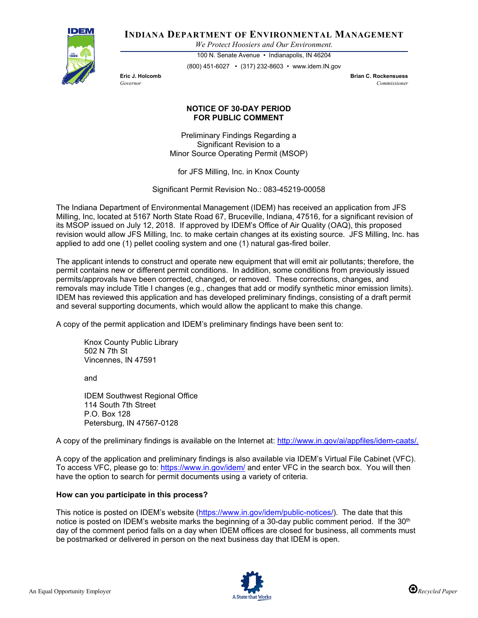

# **INDIANA DEPARTMENT OF ENVIRONMENTAL MANAGEMENT**

*We Protect Hoosiers and Our Environment.*

100 N. Senate Avenue • Indianapolis, IN 46204 (800) 451-6027 • (317) 232-8603 • www.idem.IN.gov

**Eric J. Holcomb Brian C. Rockensuess** *Governor Commissioner* 

## **NOTICE OF 30-DAY PERIOD FOR PUBLIC COMMENT**

Preliminary Findings Regarding a Significant Revision to a Minor Source Operating Permit (MSOP)

for JFS Milling, Inc. in Knox County

Significant Permit Revision No.: 083-45219-00058

The Indiana Department of Environmental Management (IDEM) has received an application from JFS Milling, Inc, located at 5167 North State Road 67, Bruceville, Indiana, 47516, for a significant revision of its MSOP issued on July 12, 2018. If approved by IDEM's Office of Air Quality (OAQ), this proposed revision would allow JFS Milling, Inc. to make certain changes at its existing source. JFS Milling, Inc. has applied to add one (1) pellet cooling system and one (1) natural gas-fired boiler.

The applicant intends to construct and operate new equipment that will emit air pollutants; therefore, the permit contains new or different permit conditions. In addition, some conditions from previously issued permits/approvals have been corrected, changed, or removed. These corrections, changes, and removals may include Title I changes (e.g., changes that add or modify synthetic minor emission limits). IDEM has reviewed this application and has developed preliminary findings, consisting of a draft permit and several supporting documents, which would allow the applicant to make this change.

A copy of the permit application and IDEM's preliminary findings have been sent to:

Knox County Public Library 502 N 7th St Vincennes, IN 47591

and

IDEM Southwest Regional Office 114 South 7th Street P.O. Box 128 Petersburg, IN 47567-0128

A copy of the preliminary findings is available on the Internet at: [http://www.in.gov/ai/appfiles/idem-caats/.](http://www.in.gov/ai/appfiles/idem-caats/)

A copy of the application and preliminary findings is also available via IDEM's Virtual File Cabinet (VFC). To access VFC, please go to:<https://www.in.gov/idem/> and enter VFC in the search box. You will then have the option to search for permit documents using a variety of criteria.

### **How can you participate in this process?**

This notice is posted on IDEM's website [\(https://www.in.gov/idem/public-notices/\)](https://www.in.gov/idem/public-notices/). The date that this notice is posted on IDEM's website marks the beginning of a 30-day public comment period. If the 30<sup>th</sup> day of the comment period falls on a day when IDEM offices are closed for business, all comments must be postmarked or delivered in person on the next business day that IDEM is open.